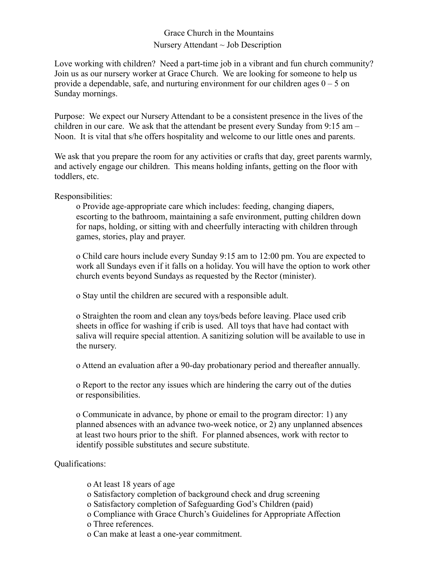## Grace Church in the Mountains Nursery Attendant  $\sim$  Job Description

Love working with children? Need a part-time job in a vibrant and fun church community? Join us as our nursery worker at Grace Church. We are looking for someone to help us provide a dependable, safe, and nurturing environment for our children ages  $0 - 5$  on Sunday mornings.

Purpose: We expect our Nursery Attendant to be a consistent presence in the lives of the children in our care. We ask that the attendant be present every Sunday from 9:15 am – Noon. It is vital that s/he offers hospitality and welcome to our little ones and parents.

We ask that you prepare the room for any activities or crafts that day, greet parents warmly, and actively engage our children. This means holding infants, getting on the floor with toddlers, etc.

Responsibilities:

o Provide age-appropriate care which includes: feeding, changing diapers, escorting to the bathroom, maintaining a safe environment, putting children down for naps, holding, or sitting with and cheerfully interacting with children through games, stories, play and prayer.

o Child care hours include every Sunday 9:15 am to 12:00 pm. You are expected to work all Sundays even if it falls on a holiday. You will have the option to work other church events beyond Sundays as requested by the Rector (minister).

o Stay until the children are secured with a responsible adult.

o Straighten the room and clean any toys/beds before leaving. Place used crib sheets in office for washing if crib is used. All toys that have had contact with saliva will require special attention. A sanitizing solution will be available to use in the nursery.

o Attend an evaluation after a 90-day probationary period and thereafter annually.

o Report to the rector any issues which are hindering the carry out of the duties or responsibilities.

o Communicate in advance, by phone or email to the program director: 1) any planned absences with an advance two-week notice, or 2) any unplanned absences at least two hours prior to the shift. For planned absences, work with rector to identify possible substitutes and secure substitute.

Qualifications:

o At least 18 years of age o Satisfactory completion of background check and drug screening o Satisfactory completion of Safeguarding God's Children (paid) o Compliance with Grace Church's Guidelines for Appropriate Affection o Three references.

o Can make at least a one-year commitment.